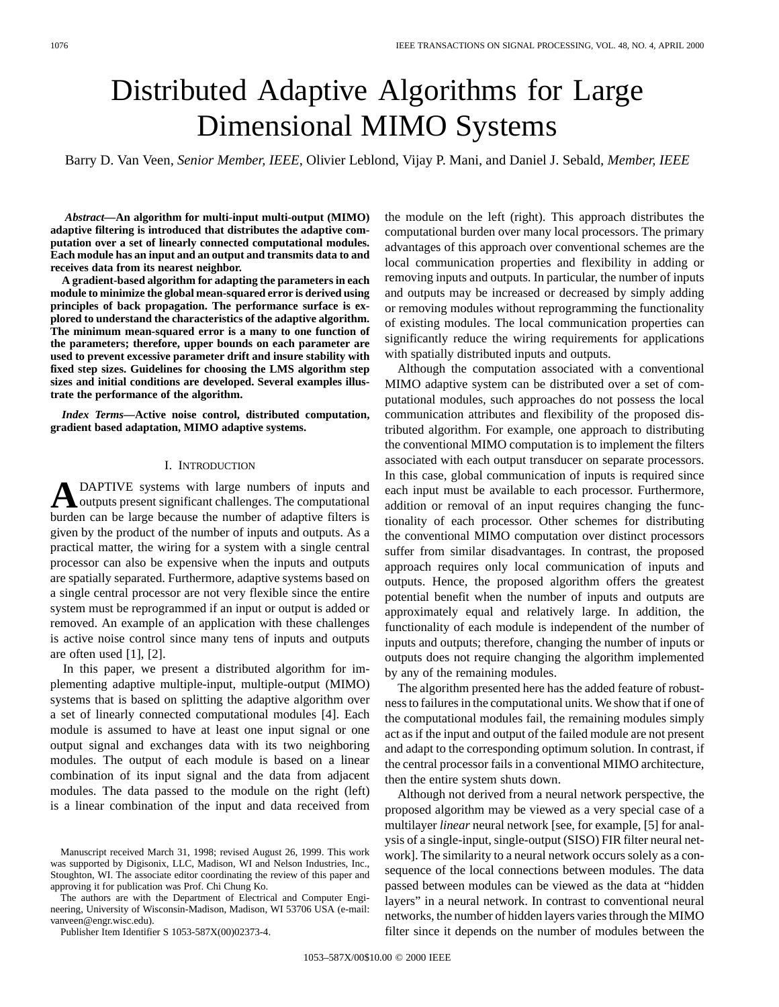# Distributed Adaptive Algorithms for Large Dimensional MIMO Systems

Barry D. Van Veen*, Senior Member, IEEE*, Olivier Leblond, Vijay P. Mani, and Daniel J. Sebald*, Member, IEEE*

*Abstract—***An algorithm for multi-input multi-output (MIMO) adaptive filtering is introduced that distributes the adaptive computation over a set of linearly connected computational modules. Each module has an input and an output and transmits data to and receives data from its nearest neighbor.**

**A gradient-based algorithm for adapting the parameters in each module to minimize the global mean-squared error is derived using principles of back propagation. The performance surface is explored to understand the characteristics of the adaptive algorithm. The minimum mean-squared error is a many to one function of the parameters; therefore, upper bounds on each parameter are used to prevent excessive parameter drift and insure stability with fixed step sizes. Guidelines for choosing the LMS algorithm step sizes and initial conditions are developed. Several examples illustrate the performance of the algorithm.**

*Index Terms—***Active noise control, distributed computation, gradient based adaptation, MIMO adaptive systems.**

## I. INTRODUCTION

**A** DAPTIVE systems with large numbers of inputs and outputs present significant challenges. The computational burden can be large because the number of adaptive filters is given by the product of the number of inputs and outputs. As a practical matter, the wiring for a system with a single central processor can also be expensive when the inputs and outputs are spatially separated. Furthermore, adaptive systems based on a single central processor are not very flexible since the entire system must be reprogrammed if an input or output is added or removed. An example of an application with these challenges is active noise control since many tens of inputs and outputs are often used [1], [2].

In this paper, we present a distributed algorithm for implementing adaptive multiple-input, multiple-output (MIMO) systems that is based on splitting the adaptive algorithm over a set of linearly connected computational modules [4]. Each module is assumed to have at least one input signal or one output signal and exchanges data with its two neighboring modules. The output of each module is based on a linear combination of its input signal and the data from adjacent modules. The data passed to the module on the right (left) is a linear combination of the input and data received from

The authors are with the Department of Electrical and Computer Engineering, University of Wisconsin-Madison, Madison, WI 53706 USA (e-mail: vanveen@engr.wisc.edu).

Publisher Item Identifier S 1053-587X(00)02373-4.

the module on the left (right). This approach distributes the computational burden over many local processors. The primary advantages of this approach over conventional schemes are the local communication properties and flexibility in adding or removing inputs and outputs. In particular, the number of inputs and outputs may be increased or decreased by simply adding or removing modules without reprogramming the functionality of existing modules. The local communication properties can significantly reduce the wiring requirements for applications with spatially distributed inputs and outputs.

Although the computation associated with a conventional MIMO adaptive system can be distributed over a set of computational modules, such approaches do not possess the local communication attributes and flexibility of the proposed distributed algorithm. For example, one approach to distributing the conventional MIMO computation is to implement the filters associated with each output transducer on separate processors. In this case, global communication of inputs is required since each input must be available to each processor. Furthermore, addition or removal of an input requires changing the functionality of each processor. Other schemes for distributing the conventional MIMO computation over distinct processors suffer from similar disadvantages. In contrast, the proposed approach requires only local communication of inputs and outputs. Hence, the proposed algorithm offers the greatest potential benefit when the number of inputs and outputs are approximately equal and relatively large. In addition, the functionality of each module is independent of the number of inputs and outputs; therefore, changing the number of inputs or outputs does not require changing the algorithm implemented by any of the remaining modules.

The algorithm presented here has the added feature of robustness to failures in the computational units. We show that if one of the computational modules fail, the remaining modules simply act as if the input and output of the failed module are not present and adapt to the corresponding optimum solution. In contrast, if the central processor fails in a conventional MIMO architecture, then the entire system shuts down.

Although not derived from a neural network perspective, the proposed algorithm may be viewed as a very special case of a multilayer *linear* neural network [see, for example, [5] for analysis of a single-input, single-output (SISO) FIR filter neural network]. The similarity to a neural network occurs solely as a consequence of the local connections between modules. The data passed between modules can be viewed as the data at "hidden layers" in a neural network. In contrast to conventional neural networks, the number of hidden layers varies through the MIMO filter since it depends on the number of modules between the

Manuscript received March 31, 1998; revised August 26, 1999. This work was supported by Digisonix, LLC, Madison, WI and Nelson Industries, Inc., Stoughton, WI. The associate editor coordinating the review of this paper and approving it for publication was Prof. Chi Chung Ko.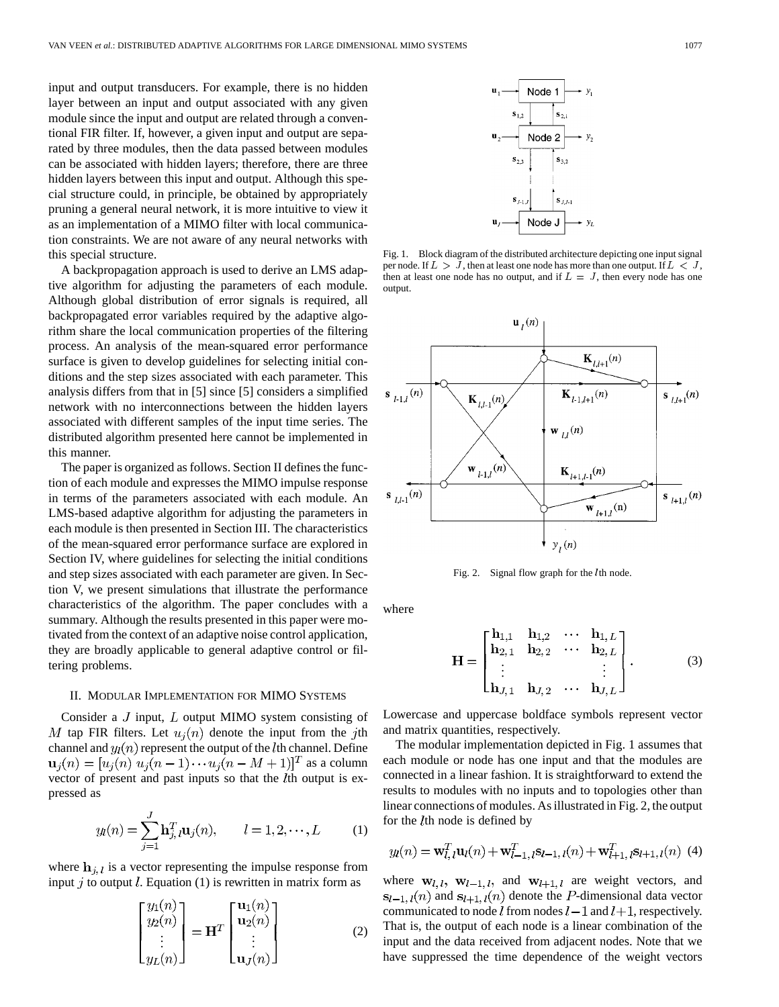input and output transducers. For example, there is no hidden layer between an input and output associated with any given module since the input and output are related through a conventional FIR filter. If, however, a given input and output are separated by three modules, then the data passed between modules can be associated with hidden layers; therefore, there are three hidden layers between this input and output. Although this special structure could, in principle, be obtained by appropriately pruning a general neural network, it is more intuitive to view it as an implementation of a MIMO filter with local communication constraints. We are not aware of any neural networks with this special structure.

A backpropagation approach is used to derive an LMS adaptive algorithm for adjusting the parameters of each module. Although global distribution of error signals is required, all backpropagated error variables required by the adaptive algorithm share the local communication properties of the filtering process. An analysis of the mean-squared error performance surface is given to develop guidelines for selecting initial conditions and the step sizes associated with each parameter. This analysis differs from that in [5] since [5] considers a simplified network with no interconnections between the hidden layers associated with different samples of the input time series. The distributed algorithm presented here cannot be implemented in this manner.

The paper is organized as follows. Section II defines the function of each module and expresses the MIMO impulse response in terms of the parameters associated with each module. An LMS-based adaptive algorithm for adjusting the parameters in each module is then presented in Section III. The characteristics of the mean-squared error performance surface are explored in Section IV, where guidelines for selecting the initial conditions and step sizes associated with each parameter are given. In Section V, we present simulations that illustrate the performance characteristics of the algorithm. The paper concludes with a summary. Although the results presented in this paper were motivated from the context of an adaptive noise control application, they are broadly applicable to general adaptive control or filtering problems.

#### II. MODULAR IMPLEMENTATION FOR MIMO SYSTEMS

Consider a J input,  $L$  output MIMO system consisting of M tap FIR filters. Let  $u_i(n)$  denote the input from the jth channel and  $y_l(n)$  represent the output of the lth channel. Define  $\mathbf{u}_i(n) = [u_i(n) \ u_i(n-1) \cdots u_i(n-M+1)]^T$  as a column vector of present and past inputs so that the  $l$ th output is expressed as

$$
y_l(n) = \sum_{j=1}^{J} \mathbf{h}_{j,l}^T \mathbf{u}_j(n), \qquad l = 1, 2, \cdots, L \tag{1}
$$

where  $\mathbf{h}_{i,l}$  is a vector representing the impulse response from input j to output l. Equation (1) is rewritten in matrix form as

$$
\begin{bmatrix} y_1(n) \\ y_2(n) \\ \vdots \\ y_L(n) \end{bmatrix} = \mathbf{H}^T \begin{bmatrix} \mathbf{u}_1(n) \\ \mathbf{u}_2(n) \\ \vdots \\ \mathbf{u}_J(n) \end{bmatrix}
$$
 (2)



Fig. 1. Block diagram of the distributed architecture depicting one input signal per node. If  $L > J$ , then at least one node has more than one output. If  $L < J$ , then at least one node has no output, and if  $L = J$ , then every node has one output.



Fig. 2. Signal flow graph for the *l*th node.

where

$$
\mathbf{H} = \begin{bmatrix} \mathbf{h}_{1,1} & \mathbf{h}_{1,2} & \cdots & \mathbf{h}_{1,L} \\ \mathbf{h}_{2,1} & \mathbf{h}_{2,2} & \cdots & \mathbf{h}_{2,L} \\ \vdots & & & \vdots \\ \mathbf{h}_{J,1} & \mathbf{h}_{J,2} & \cdots & \mathbf{h}_{J,L} \end{bmatrix} .
$$
 (3)

Lowercase and uppercase boldface symbols represent vector and matrix quantities, respectively.

The modular implementation depicted in Fig. 1 assumes that each module or node has one input and that the modules are connected in a linear fashion. It is straightforward to extend the results to modules with no inputs and to topologies other than linear connections of modules. As illustrated in Fig. 2, the output for the  $l$ th node is defined by

$$
y_l(n) = \mathbf{w}_{l,l}^T \mathbf{u}_l(n) + \mathbf{w}_{l-1,l}^T \mathbf{s}_{l-1,l}(n) + \mathbf{w}_{l+1,l}^T \mathbf{s}_{l+1,l}(n)
$$
 (4)

where  $\mathbf{w}_{l,l}$ ,  $\mathbf{w}_{l-1,l}$ , and  $\mathbf{w}_{l+1,l}$  are weight vectors, and  $s_{l-1, l}(n)$  and  $s_{l+1, l}(n)$  denote the P-dimensional data vector communicated to node l from nodes  $l-1$  and  $l+1$ , respectively. That is, the output of each node is a linear combination of the input and the data received from adjacent nodes. Note that we have suppressed the time dependence of the weight vectors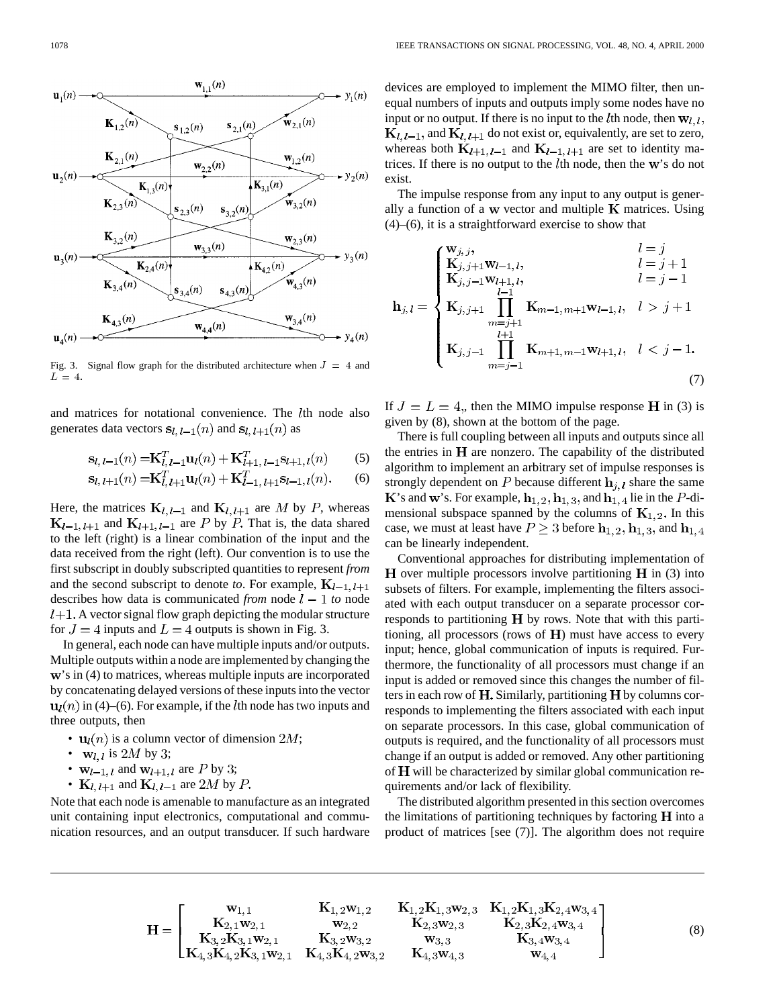

Fig. 3. Signal flow graph for the distributed architecture when  $J = 4$  and  $L = 4$ 

and matrices for notational convenience. The *lth* node also generates data vectors  $s_{l, l-1}(n)$  and  $s_{l, l+1}(n)$  as

$$
\mathbf{s}_{l,l-1}(n) = \mathbf{K}_{l,l-1}^T \mathbf{u}_l(n) + \mathbf{K}_{l+1,l-1}^T \mathbf{s}_{l+1,l}(n) \tag{5}
$$

$$
\mathbf{s}_{l,l+1}(n) = \mathbf{K}_{l,l+1}^T \mathbf{u}_l(n) + \mathbf{K}_{l-1,l+1}^T \mathbf{s}_{l-1,l}(n).
$$
 (6)

Here, the matrices  $K_{l, l-1}$  and  $K_{l, l+1}$  are M by P, whereas  $\mathbf{K}_{l-1, l+1}$  and  $\mathbf{K}_{l+1, l-1}$  are P by P. That is, the data shared to the left (right) is a linear combination of the input and the data received from the right (left). Our convention is to use the first subscript in doubly subscripted quantities to represent *from* and the second subscript to denote *to*. For example,  $K_{l-1, l+1}$ describes how data is communicated *from* node  $l - 1$  to node  $l+1$ . A vector signal flow graph depicting the modular structure for  $J = 4$  inputs and  $L = 4$  outputs is shown in Fig. 3.

In general, each node can have multiple inputs and/or outputs. Multiple outputs within a node are implemented by changing the 's in (4) to matrices, whereas multiple inputs are incorporated by concatenating delayed versions of these inputs into the vector  $\mathbf{u}_l(n)$  in (4)–(6). For example, if the *l*th node has two inputs and three outputs, then

- $\mathbf{u}_l(n)$  is a column vector of dimension  $2M$ ;
- $\mathbf{w}_{l,l}$  is 2*M* by 3;
- $w_{l-1, l}$  and  $w_{l+1, l}$  are P by 3;
- $K_{l,l+1}$  and  $K_{l,l-1}$  are 2M by P.

Note that each node is amenable to manufacture as an integrated unit containing input electronics, computational and communication resources, and an output transducer. If such hardware

devices are employed to implement the MIMO filter, then unequal numbers of inputs and outputs imply some nodes have no input or no output. If there is no input to the *l*th node, then  $w_{l,l}$ ,  $\mathbf{K}_{l, l-1}$ , and  $\mathbf{K}_{l, l+1}$  do not exist or, equivalently, are set to zero, whereas both  $K_{l+1, l-1}$  and  $K_{l-1, l+1}$  are set to identity matrices. If there is no output to the  $l$ th node, then the  $w$ 's do not exist.

The impulse response from any input to any output is generally a function of a  $w$  vector and multiple  $K$  matrices. Using (4)–(6), it is a straightforward exercise to show that

$$
\mathbf{h}_{j,l} = \begin{cases} \n\mathbf{W}_{j,j}^j, & l = j \\ \n\mathbf{K}_{j,j+1}\mathbf{W}_{l-1,l}, & l = j+1 \\ \n\mathbf{K}_{j,j-1}\mathbf{W}_{l+1,l}, & l = j-1 \\ \n\mathbf{K}_{j,j+1} \prod_{\substack{l=1 \\ m = j+1}}^{\ell-1} \mathbf{K}_{m-1,m+1}\mathbf{W}_{l-1,l}, & l > j+1 \\ \n\mathbf{K}_{j,j-1} \prod_{m=j-1}^{\ell+1} \mathbf{K}_{m+1,m-1}\mathbf{W}_{l+1,l}, & l < j-1. \n\end{cases}
$$
\n(7)

If  $J = L = 4$ , then the MIMO impulse response H in (3) is given by (8), shown at the bottom of the page.

There is full coupling between all inputs and outputs since all the entries in  $H$  are nonzero. The capability of the distributed algorithm to implement an arbitrary set of impulse responses is strongly dependent on P because different  $\mathbf{h}_{i, l}$  share the same K's and w's. For example,  $\mathbf{h}_{1,2}, \mathbf{h}_{1,3}$ , and  $\mathbf{h}_{1,4}$  lie in the P-dimensional subspace spanned by the columns of  $K_{1,2}$ . In this case, we must at least have  $P \geq 3$  before  $\mathbf{h}_{1,2}, \mathbf{h}_{1,3}$ , and  $\mathbf{h}_{1,4}$ can be linearly independent.

Conventional approaches for distributing implementation of  $H$  over multiple processors involve partitioning  $H$  in (3) into subsets of filters. For example, implementing the filters associated with each output transducer on a separate processor corresponds to partitioning  $H$  by rows. Note that with this partitioning, all processors (rows of  $H$ ) must have access to every input; hence, global communication of inputs is required. Furthermore, the functionality of all processors must change if an input is added or removed since this changes the number of filters in each row of  $H$ . Similarly, partitioning  $H$  by columns corresponds to implementing the filters associated with each input on separate processors. In this case, global communication of outputs is required, and the functionality of all processors must change if an output is added or removed. Any other partitioning of  $H$  will be characterized by similar global communication requirements and/or lack of flexibility.

The distributed algorithm presented in this section overcomes the limitations of partitioning techniques by factoring  $H$  into a product of matrices [see (7)]. The algorithm does not require

$$
\mathbf{H} = \begin{bmatrix} \mathbf{w}_{1,1} & \mathbf{K}_{1,2}\mathbf{w}_{1,2} & \mathbf{K}_{1,2}\mathbf{K}_{1,3}\mathbf{w}_{2,3} & \mathbf{K}_{1,2}\mathbf{K}_{1,3}\mathbf{K}_{2,4}\mathbf{w}_{3,4} \\ \mathbf{K}_{2,1}\mathbf{w}_{2,1} & \mathbf{w}_{2,2} & \mathbf{K}_{2,3}\mathbf{w}_{2,3} & \mathbf{K}_{2,3}\mathbf{K}_{2,4}\mathbf{w}_{3,4} \\ \mathbf{K}_{3,2}\mathbf{K}_{3,1}\mathbf{w}_{2,1} & \mathbf{K}_{3,2}\mathbf{w}_{3,2} & \mathbf{w}_{3,3} & \mathbf{K}_{3,4}\mathbf{w}_{3,4} \\ \mathbf{K}_{4,3}\mathbf{K}_{4,2}\mathbf{K}_{3,1}\mathbf{w}_{2,1} & \mathbf{K}_{4,3}\mathbf{K}_{4,2}\mathbf{w}_{3,2} & \mathbf{K}_{4,3}\mathbf{w}_{4,3} & \mathbf{w}_{4,4} \end{bmatrix} \tag{8}
$$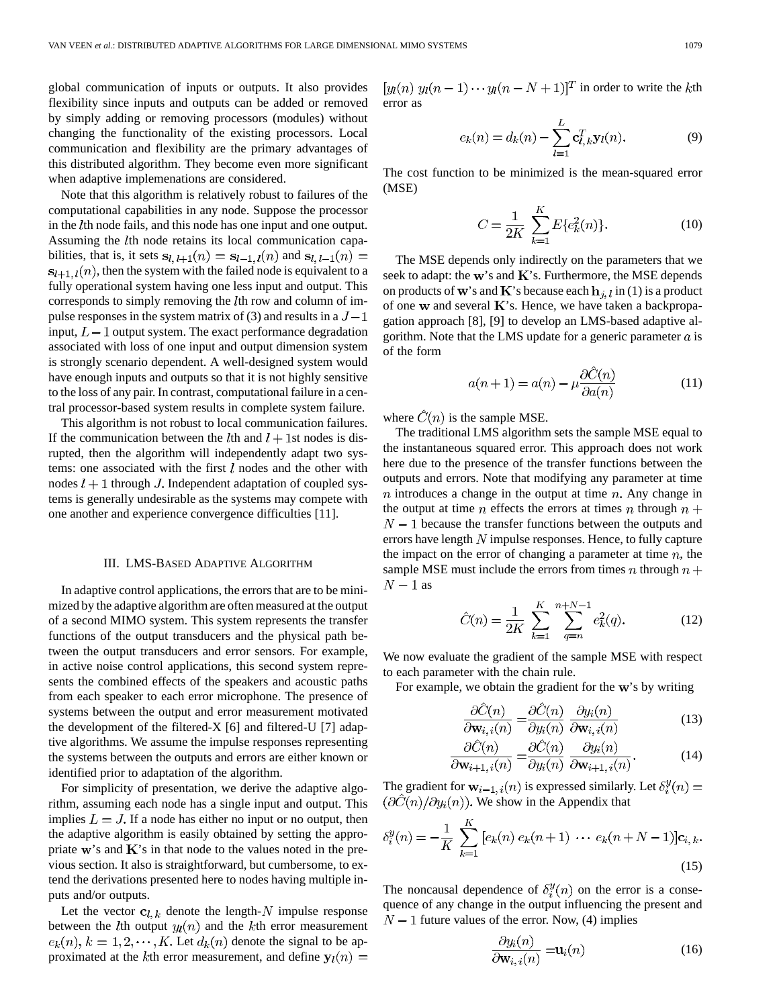global communication of inputs or outputs. It also provides flexibility since inputs and outputs can be added or removed by simply adding or removing processors (modules) without changing the functionality of the existing processors. Local communication and flexibility are the primary advantages of this distributed algorithm. They become even more significant when adaptive implemenations are considered.

Note that this algorithm is relatively robust to failures of the computational capabilities in any node. Suppose the processor in the *l*th node fails, and this node has one input and one output. Assuming the *l*th node retains its local communication capabilities, that is, it sets  $s_{l, l+1}(n) = s_{l-1, l}(n)$  and  $s_{l, l-1}(n) =$  $s_{l+1, l}(n)$ , then the system with the failed node is equivalent to a fully operational system having one less input and output. This corresponds to simply removing the  $l$ th row and column of impulse responses in the system matrix of (3) and results in a  $J-1$ input,  $L-1$  output system. The exact performance degradation associated with loss of one input and output dimension system is strongly scenario dependent. A well-designed system would have enough inputs and outputs so that it is not highly sensitive to the loss of any pair. In contrast, computational failure in a central processor-based system results in complete system failure.

This algorithm is not robust to local communication failures. If the communication between the *l*th and  $l + 1$ st nodes is disrupted, then the algorithm will independently adapt two systems: one associated with the first  $l$  nodes and the other with nodes  $l + 1$  through J. Independent adaptation of coupled systems is generally undesirable as the systems may compete with one another and experience convergence difficulties [11].

## III. LMS-BASED ADAPTIVE ALGORITHM

In adaptive control applications, the errors that are to be minimized by the adaptive algorithm are often measured at the output of a second MIMO system. This system represents the transfer functions of the output transducers and the physical path between the output transducers and error sensors. For example, in active noise control applications, this second system represents the combined effects of the speakers and acoustic paths from each speaker to each error microphone. The presence of systems between the output and error measurement motivated the development of the filtered-X [6] and filtered-U [7] adaptive algorithms. We assume the impulse responses representing the systems between the outputs and errors are either known or identified prior to adaptation of the algorithm.

For simplicity of presentation, we derive the adaptive algorithm, assuming each node has a single input and output. This implies  $L = J$ . If a node has either no input or no output, then the adaptive algorithm is easily obtained by setting the appropriate  $\mathbf{w}$ 's and  $\mathbf{K}$ 's in that node to the values noted in the previous section. It also is straightforward, but cumbersome, to extend the derivations presented here to nodes having multiple inputs and/or outputs.

Let the vector  $c_{l,k}$  denote the length-N impulse response between the *l*th output  $y_l(n)$  and the *k*th error measurement  $e_k(n)$ ,  $k = 1, 2, \dots, K$ . Let  $d_k(n)$  denote the signal to be approximated at the kth error measurement, and define  $y_l(n) =$   $[y_l(n) y_l(n-1) \cdots y_l(n-N+1)]^T$  in order to write the kth error as

$$
e_k(n) = d_k(n) - \sum_{l=1}^{L} \mathbf{c}_{l,k}^T \mathbf{y}_l(n).
$$
 (9)

The cost function to be minimized is the mean-squared error (MSE)

$$
C = \frac{1}{2K} \sum_{k=1}^{K} E\{e_k^2(n)\}.
$$
 (10)

The MSE depends only indirectly on the parameters that we seek to adapt: the  $w$ 's and  $K$ 's. Furthermore, the MSE depends on products of w's and K's because each  $\mathbf{h}_{i,l}$  in (1) is a product of one  $w$  and several  $K$ 's. Hence, we have taken a backpropagation approach [8], [9] to develop an LMS-based adaptive algorithm. Note that the LMS update for a generic parameter  $a$  is of the form

$$
a(n+1) = a(n) - \mu \frac{\partial \hat{C}(n)}{\partial a(n)}
$$
(11)

where  $\hat{C}(n)$  is the sample MSE.

The traditional LMS algorithm sets the sample MSE equal to the instantaneous squared error. This approach does not work here due to the presence of the transfer functions between the outputs and errors. Note that modifying any parameter at time  $n$  introduces a change in the output at time  $n$ . Any change in the output at time *n* effects the errors at times *n* through  $n +$  $N-1$  because the transfer functions between the outputs and errors have length  $N$  impulse responses. Hence, to fully capture the impact on the error of changing a parameter at time  $n$ , the sample MSE must include the errors from times n through  $n +$  $N-1$  as

$$
\hat{C}(n) = \frac{1}{2K} \sum_{k=1}^{K} \sum_{q=n}^{n+N-1} e_k^2(q).
$$
 (12)

We now evaluate the gradient of the sample MSE with respect to each parameter with the chain rule.

For example, we obtain the gradient for the  $\mathbf{w}$ 's by writing

$$
\frac{\partial \hat{C}(n)}{\partial \mathbf{w}_{i,i}(n)} = \frac{\partial \hat{C}(n)}{\partial y_i(n)} \frac{\partial y_i(n)}{\partial \mathbf{w}_{i,i}(n)}\tag{13}
$$

$$
\frac{\partial C(n)}{\partial \mathbf{w}_{i+1,i}(n)} = \frac{\partial C(n)}{\partial y_i(n)} \frac{\partial y_i(n)}{\partial \mathbf{w}_{i+1,i}(n)}.
$$
(14)

The gradient for  $\mathbf{w}_{i-1,i}(n)$  is expressed similarly. Let  $\delta_i^y(n)$  =  $(\partial C(n)/\partial y_i(n))$ . We show in the Appendix that

$$
\delta_i^y(n) = -\frac{1}{K} \sum_{k=1}^K \left[ e_k(n) \ e_k(n+1) \ \cdots \ e_k(n+N-1) \right] \mathbf{c}_{i,k}.
$$
\n(15)

The noncausal dependence of  $\delta_i^y(n)$  on the error is a consequence of any change in the output influencing the present and  $N-1$  future values of the error. Now, (4) implies

$$
\frac{\partial y_i(n)}{\partial \mathbf{w}_{i,i}(n)} = \mathbf{u}_i(n) \tag{16}
$$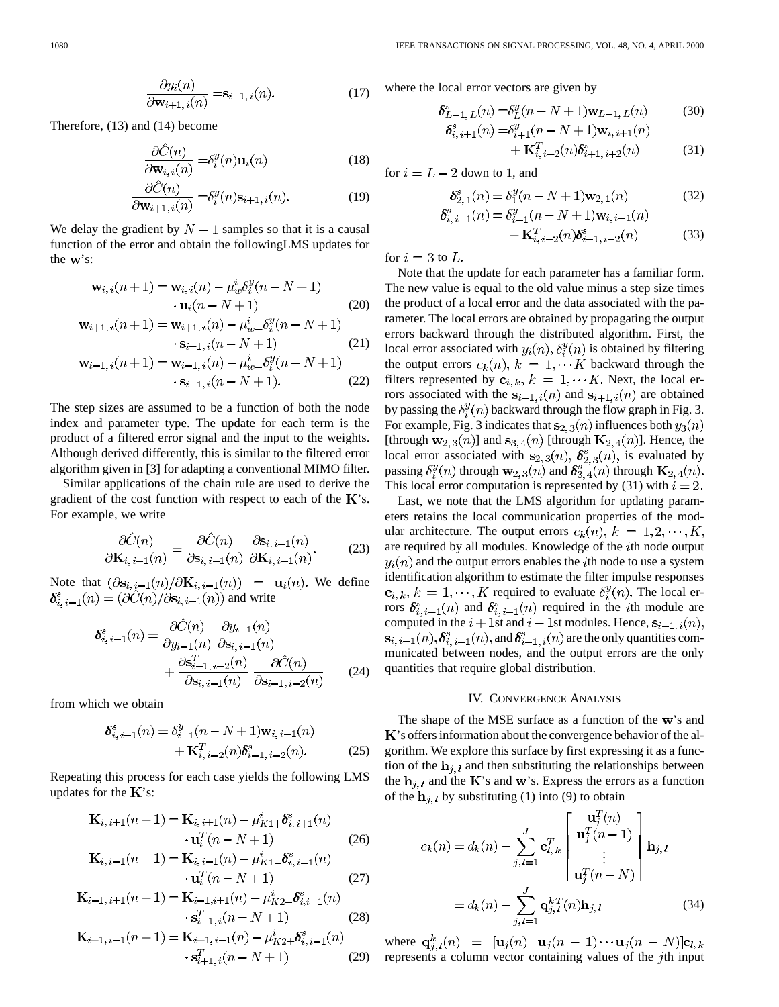$$
\frac{\partial y_i(n)}{\partial \mathbf{w}_{i+1,i}(n)} = \mathbf{s}_{i+1,i}(n). \tag{17}
$$

Therefore, (13) and (14) become

$$
\frac{\partial C(n)}{\partial \mathbf{w}_{i,i}(n)} = \delta_i^y(n)\mathbf{u}_i(n) \tag{18}
$$

$$
\frac{\partial C(n)}{\partial \mathbf{w}_{i+1,i}(n)} = \delta_i^y(n) \mathbf{s}_{i+1,i}(n). \tag{19}
$$

We delay the gradient by  $N-1$  samples so that it is a causal function of the error and obtain the followingLMS updates for the w's:

$$
\mathbf{w}_{i,i}(n+1) = \mathbf{w}_{i,i}(n) - \mu_w^i \delta_i^y(n - N + 1) \n\cdot \mathbf{u}_i(n - N + 1)
$$
\n(20)

$$
\mathbf{w}_{i+1,i}(n+1) = \mathbf{w}_{i+1,i}(n) - \mu_{w+}^i \delta_i^y(n - N + 1)
$$
  
• 
$$
\mathbf{s}_{i+1,i}(n - N + 1)
$$
 (21)

$$
\mathbf{w}_{i-1,i}(n+1) = \mathbf{w}_{i-1,i}(n) - \mu_{w-1,i}^{i} \delta_{i}^{y}(n-N+1)
$$
  
• 
$$
\mathbf{s}_{i-1,i}(n-N+1).
$$
 (22)

The step sizes are assumed to be a function of both the node index and parameter type. The update for each term is the product of a filtered error signal and the input to the weights. Although derived differently, this is similar to the filtered error algorithm given in [3] for adapting a conventional MIMO filter.

Similar applications of the chain rule are used to derive the gradient of the cost function with respect to each of the  $K$ 's. For example, we write

$$
\frac{\partial \hat{C}(n)}{\partial \mathbf{K}_{i,i-1}(n)} = \frac{\partial \hat{C}(n)}{\partial \mathbf{s}_{i,i-1}(n)} \frac{\partial \mathbf{s}_{i,i-1}(n)}{\partial \mathbf{K}_{i,i-1}(n)}.
$$
(23)

Note that  $(\partial s_{i,i-1}(n)/\partial K_{i,i-1}(n)) = u_i(n)$ . We define  $\delta_{i,i-1}^s(n) = (\partial \hat{C}(n)/\partial s_{i,i-1}(n))$  and write

$$
\delta_{i,i-1}^s(n) = \frac{\partial \hat{C}(n)}{\partial y_{i-1}(n)} \frac{\partial y_{i-1}(n)}{\partial \mathbf{s}_{i,i-1}(n)} + \frac{\partial \mathbf{s}_{i-1,i-2}^T(n)}{\partial \mathbf{s}_{i,i-1}(n)} \frac{\partial \hat{C}(n)}{\partial \mathbf{s}_{i-1,i-2}(n)} \qquad (24)
$$

from which we obtain

$$
\delta_{i,i-1}^{s}(n) = \delta_{i-1}^{y}(n - N + 1)\mathbf{w}_{i,i-1}(n) + \mathbf{K}_{i,i-2}^{T}(n)\delta_{i-1,i-2}^{s}(n).
$$
 (25)

Repeating this process for each case yields the following LMS updates for the  $\mathbf{K}$ 's:

$$
\mathbf{K}_{i,i+1}(n+1) = \mathbf{K}_{i,i+1}(n) - \mu_{K1+}^{i} \delta_{i,i+1}^{s}(n)
$$

$$
\mathbf{u}_{i}^{T}(n-N+1)
$$
(26)

$$
\mathbf{K}_{i,i-1}(n+1) = \mathbf{K}_{i,i-1}(n) - \mu_{K1}^2 - \delta_{i,i-1}^2(n) \n\cdot \mathbf{u}_i^T(n - N + 1)
$$
\n(27)

$$
\mathbf{K}_{i-1,i+1}(n+1) = \mathbf{K}_{i-1,i+1}(n) - \mu_{K2}^{i} - \delta_{i,i+1}^{s}(n)
$$

$$
\cdot \mathbf{s}_{i-1,i}^{T}(n-N+1)
$$
(28)

$$
\mathbf{K}_{i+1, i-1}(n+1) = \mathbf{K}_{i+1, i-1}(n) - \mu_{K2+}^i \delta_{i, i-1}^s(n)
$$
  
• 
$$
\mathbf{s}_{i+1, i}^T(n-N+1)
$$
 (29)

where the local error vectors are given by

$$
\delta_{L-1, L}^{s}(n) = \delta_{L}^{y}(n - N + 1)\mathbf{w}_{L-1, L}(n)
$$
\n
$$
\delta_{i, i+1}^{s}(n) = \delta_{i+1}^{y}(n - N + 1)\mathbf{w}_{i, i+1}(n)
$$
\n(30)

$$
+\mathbf{K}_{i,i+2}^T(n)\boldsymbol{\delta}_{i+1,i+2}^s(n) \tag{31}
$$

for  $i = L - 2$  down to 1, and

$$
\delta_{2,1}^{s}(n) = \delta_1^{y}(n - N + 1)\mathbf{w}_{2,1}(n) \tag{32}
$$

$$
\delta_{i, i-1}^{s}(n) = \delta_{i-1}^{y}(n - N + 1)\mathbf{w}_{i, i-1}(n) + \mathbf{K}_{i, i-2}^{T}(n)\delta_{i-1, i-2}^{s}(n)
$$
\n(33)

for  $i=3$  to L.

Note that the update for each parameter has a familiar form. The new value is equal to the old value minus a step size times the product of a local error and the data associated with the parameter. The local errors are obtained by propagating the output errors backward through the distributed algorithm. First, the local error associated with  $y_i(n)$ ,  $\delta_i^y(n)$  is obtained by filtering the output errors  $e_k(n)$ ,  $k = 1, \dots K$  backward through the filters represented by  $c_{i,k}$ ,  $k = 1, \dots K$ . Next, the local errors associated with the  $s_{i-1,i}(n)$  and  $s_{i+1,i}(n)$  are obtained by passing the  $\delta_i^y(n)$  backward through the flow graph in Fig. 3. For example, Fig. 3 indicates that  $s_{2,3}(n)$  influences both  $y_3(n)$ [through  $\mathbf{w}_{2,3}(n)$ ] and  $\mathbf{s}_{3,4}(n)$  [through  $\mathbf{K}_{2,4}(n)$ ]. Hence, the local error associated with  $s_{2,3}(n)$ ,  $\delta_{2,3}^{s}(n)$ , is evaluated by passing  $\delta_i^y(n)$  through  $\mathbf{w}_{2,3}(n)$  and  $\delta_{3,4}^s(n)$  through  $\mathbf{K}_{2,4}(n)$ . This local error computation is represented by (31) with  $i = 2$ .

Last, we note that the LMS algorithm for updating parameters retains the local communication properties of the modular architecture. The output errors  $e_k(n)$ ,  $k = 1, 2, \dots, K$ , are required by all modules. Knowledge of the *i*th node output  $y_i(n)$  and the output errors enables the *i*th node to use a system identification algorithm to estimate the filter impulse responses  $\mathbf{c}_{i,k}$ ,  $k = 1, \dots, K$  required to evaluate  $\delta_i^y(n)$ . The local errors  $\delta_{i,i+1}^s(n)$  and  $\delta_{i,i-1}^s(n)$  required in the *i*th module are computed in the  $i + 1$ st and  $i - 1$ st modules. Hence,  $s_{i-1, i}(n)$ ,  $s_{i,i-1}(n), \delta_{i,i-1}^s(n)$ , and  $\delta_{i-1,i}^s(n)$  are the only quantities communicated between nodes, and the output errors are the only quantities that require global distribution.

# IV. CONVERGENCE ANALYSIS

The shape of the MSE surface as a function of the  $w$ 's and K's offers information about the convergence behavior of the algorithm. We explore this surface by first expressing it as a function of the  $\mathbf{h}_{i,l}$  and then substituting the relationships between the  $\mathbf{h}_{i,l}$  and the K's and w's. Express the errors as a function of the  $h_{i,l}$  by substituting (1) into (9) to obtain

$$
e_k(n) = d_k(n) - \sum_{j, l=1}^{J} \mathbf{c}_{l, k}^T \begin{bmatrix} \mathbf{u}_j^T(n) \\ \mathbf{u}_j^T(n-1) \\ \vdots \\ \mathbf{u}_j^T(n-N) \end{bmatrix} \mathbf{h}_{j, l} = d_k(n) - \sum_{j, l=1}^{J} \mathbf{q}_{j, l}^{k} (n) \mathbf{h}_{j, l}
$$
(34)

where  $\mathbf{q}_{i,l}^k(n) = [\mathbf{u}_j(n) \ \mathbf{u}_j(n-1) \cdots \mathbf{u}_j(n-N)] \mathbf{c}_{l,k}$ represents a column vector containing values of the  $j$ th input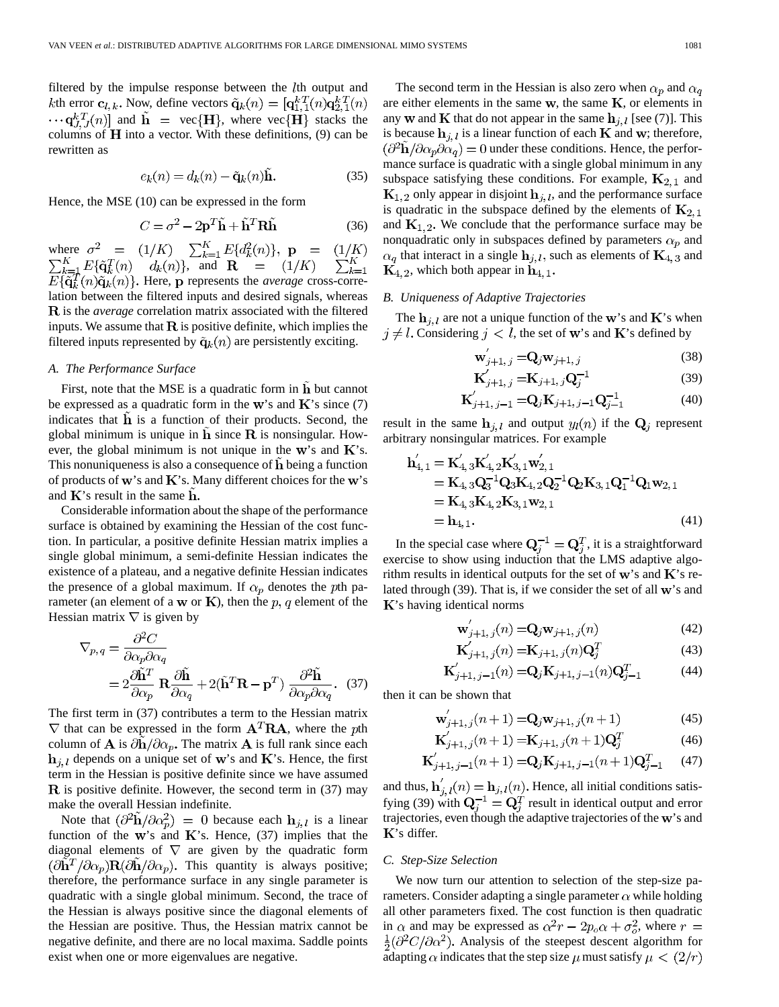filtered by the impulse response between the  $l$ th output and kth error  $\mathbf{c}_{l,k}$ . Now, define vectors  $\tilde{\mathbf{q}}_k(n) = [\mathbf{q}_{1,1}^{k}(n)\mathbf{q}_{2,1}^{k}(n)]$  $\cdots q_{I}^{k}T_{I}(n)$  and  $\tilde{\mathbf{h}} = \text{vec}\{\mathbf{H}\}\text{, where } \text{vec}\{\mathbf{H}\}\text{ stacks the}$ columns of  $H$  into a vector. With these definitions,  $(9)$  can be rewritten as

$$
e_k(n) = d_k(n) - \tilde{q}_k(n)\tilde{h}.
$$
 (35)

Hence, the MSE (10) can be expressed in the form

$$
C = \sigma^2 - 2\mathbf{p}^T \tilde{\mathbf{h}} + \tilde{\mathbf{h}}^T \mathbf{R} \tilde{\mathbf{h}}
$$
 (36)

where , and  $E\{\tilde{\mathbf{q}}_k^T(n)\tilde{\mathbf{q}}_k(n)\}\.$  Here, **p** represents the *average* cross-correlation between the filtered inputs and desired signals, whereas **R** is the *average* correlation matrix associated with the filtered inputs. We assume that  $\bf R$  is positive definite, which implies the filtered inputs represented by  $\tilde{\mathbf{q}}_k(n)$  are persistently exciting.

# *A. The Performance Surface*

First, note that the MSE is a quadratic form in  $\tilde{h}$  but cannot be expressed as a quadratic form in the  $w$ 's and  $K$ 's since (7) indicates that  $\mathbf{h}$  is a function of their products. Second, the global minimum is unique in  $h$  since  $R$  is nonsingular. However, the global minimum is not unique in the  $w$ 's and  $K$ 's. This nonuniqueness is also a consequence of h being a function of products of  $w$ 's and  $K$ 's. Many different choices for the  $w$ 's and  $\mathbf{K}$ 's result in the same  $\mathbf{h}$ .

Considerable information about the shape of the performance surface is obtained by examining the Hessian of the cost function. In particular, a positive definite Hessian matrix implies a single global minimum, a semi-definite Hessian indicates the existence of a plateau, and a negative definite Hessian indicates the presence of a global maximum. If  $\alpha_p$  denotes the pth parameter (an element of a w or  $\mathbf{K}$ ), then the p, q element of the Hessian matrix  $\nabla$  is given by

$$
\nabla_{p,q} = \frac{\partial^2 C}{\partial \alpha_p \partial \alpha_q}
$$
  
=  $2 \frac{\partial \tilde{\mathbf{h}}^T}{\partial \alpha_p} \mathbf{R} \frac{\partial \tilde{\mathbf{h}}}{\partial \alpha_q} + 2(\tilde{\mathbf{h}}^T \mathbf{R} - \mathbf{p}^T) \frac{\partial^2 \tilde{\mathbf{h}}}{\partial \alpha_p \partial \alpha_q}.$  (37)

The first term in (37) contributes a term to the Hessian matrix  $\nabla$  that can be expressed in the form  $A^T R A$ , where the pth column of **A** is  $\partial h / \partial \alpha_p$ . The matrix **A** is full rank since each  $\mathbf{h}_{i,l}$  depends on a unique set of w's and K's. Hence, the first term in the Hessian is positive definite since we have assumed  $\bf R$  is positive definite. However, the second term in (37) may make the overall Hessian indefinite.

Note that  $\left(\frac{\partial^2 \mathbf{h}}{\partial \alpha_p^2}\right) = 0$  because each  $\mathbf{h}_{j,l}$  is a linear function of the  $w$ 's and  $K$ 's. Hence, (37) implies that the diagonal elements of  $\nabla$  are given by the quadratic form  $(\partial \mathbf{h}^T/\partial \alpha_p) \mathbf{R}(\partial \mathbf{h}/\partial \alpha_p)$ . This quantity is always positive; therefore, the performance surface in any single parameter is quadratic with a single global minimum. Second, the trace of the Hessian is always positive since the diagonal elements of the Hessian are positive. Thus, the Hessian matrix cannot be negative definite, and there are no local maxima. Saddle points exist when one or more eigenvalues are negative.

The second term in the Hessian is also zero when  $\alpha_p$  and  $\alpha_q$ are either elements in the same  $w$ , the same  $K$ , or elements in any w and K that do not appear in the same  $h_{j,l}$  [see (7)]. This is because  $\mathbf{h}_{i,l}$  is a linear function of each **K** and **w**; therefore,  $\left(\frac{\partial^2 \mathbf{h}}{\partial \alpha_p \partial \alpha_q}\right) = 0$  under these conditions. Hence, the performance surface is quadratic with a single global minimum in any subspace satisfying these conditions. For example,  $K_{2,1}$  and  $K_{1,2}$  only appear in disjoint  $h_{j,l}$ , and the performance surface is quadratic in the subspace defined by the elements of  $K_{2,1}$ and  $K_{1,2}$ . We conclude that the performance surface may be nonquadratic only in subspaces defined by parameters  $\alpha_p$  and  $\alpha_q$  that interact in a single  $\mathbf{h}_{j,l}$ , such as elements of  $\mathbf{K}_{4,3}$  and  $K_{4,2}$ , which both appear in  $h_{4,1}$ .

#### *B. Uniqueness of Adaptive Trajectories*

The  $h_{j,l}$  are not a unique function of the w's and  $\mathbf{K}$ 's when  $j \neq l$ . Considering  $j < l$ , the set of **w**'s and **K**'s defined by

$$
\mathbf{w}_{j+1,\,j} = \mathbf{Q}_j \mathbf{w}_{j+1,\,j} \tag{38}
$$

$$
\mathbf{K}_{j+1,j} = \mathbf{K}_{j+1,j} \mathbf{Q}_j^{-1} \tag{39}
$$

$$
\mathbf{K}'_{j+1,j-1} = \mathbf{Q}_j \mathbf{K}_{j+1,j-1} \mathbf{Q}_{j-1}^{-1}
$$
 (40)

result in the same  $\mathbf{h}_{j,l}$  and output  $y_l(n)$  if the  $\mathbf{Q}_j$  represent arbitrary nonsingular matrices. For example

$$
\mathbf{h}'_{4,1} = \mathbf{K}'_{4,3} \mathbf{K}'_{4,2} \mathbf{K}'_{3,1} \mathbf{w}'_{2,1} \n= \mathbf{K}_{4,3} \mathbf{Q}_3^{-1} \mathbf{Q}_3 \mathbf{K}_{4,2} \mathbf{Q}_2^{-1} \mathbf{Q}_2 \mathbf{K}_{3,1} \mathbf{Q}_1^{-1} \mathbf{Q}_1 \mathbf{w}_{2,1} \n= \mathbf{K}_{4,3} \mathbf{K}_{4,2} \mathbf{K}_{3,1} \mathbf{w}_{2,1} \n= \mathbf{h}_{4,1}. \tag{41}
$$

In the special case where  $\mathbf{Q}_i^{-1} = \mathbf{Q}_i^T$ , it is a straightforward exercise to show using induction that the LMS adaptive algorithm results in identical outputs for the set of  $w$ 's and  $K$ 's related through  $(39)$ . That is, if we consider the set of all w's and K's having identical norms

$$
\mathbf{w}'_{j+1,j}(n) = \mathbf{Q}_j \mathbf{w}_{j+1,j}(n) \tag{42}
$$

$$
\mathbf{K}'_{j+1,j}(n) = \mathbf{K}_{j+1,j}(n)\mathbf{Q}_j^T
$$
\n(43)

$$
\mathbf{K}'_{j+1,j-1}(n) = \mathbf{Q}_j \mathbf{K}_{j+1,j-1}(n) \mathbf{Q}_{j-1}^T
$$
 (44)

then it can be shown that

$$
\mathbf{w}'_{j+1,j}(n+1) = \mathbf{Q}_j \mathbf{w}_{j+1,j}(n+1) \tag{45}
$$

$$
\mathbf{K}_{j+1,j}(n+1) = \mathbf{K}_{j+1,j}(n+1)\mathbf{Q}_j^T
$$
 (46)

$$
\mathbf{K}'_{j+1,j-1}(n+1) = \mathbf{Q}_j \mathbf{K}_{j+1,j-1}(n+1) \mathbf{Q}_{j-1}^T
$$
 (47)

and thus,  $\mathbf{h}_{j,l}'(n) = \mathbf{h}_{j,l}(n)$ . Hence, all initial conditions satisfying (39) with  $\mathbf{Q}_i^{-1} = \mathbf{Q}_i^T$  result in identical output and error trajectories, even though the adaptive trajectories of the w's and K's differ.

## *C. Step-Size Selection*

We now turn our attention to selection of the step-size parameters. Consider adapting a single parameter  $\alpha$  while holding all other parameters fixed. The cost function is then quadratic in  $\alpha$  and may be expressed as  $\alpha^2 r - 2p_o \alpha + \sigma_o^2$ , where  $r =$  $\frac{1}{2}$ ( $\frac{\partial^2 C}{\partial \alpha^2}$ ). Analysis of the steepest descent algorithm for adapting  $\alpha$  indicates that the step size  $\mu$  must satisfy  $\mu < (2/r)$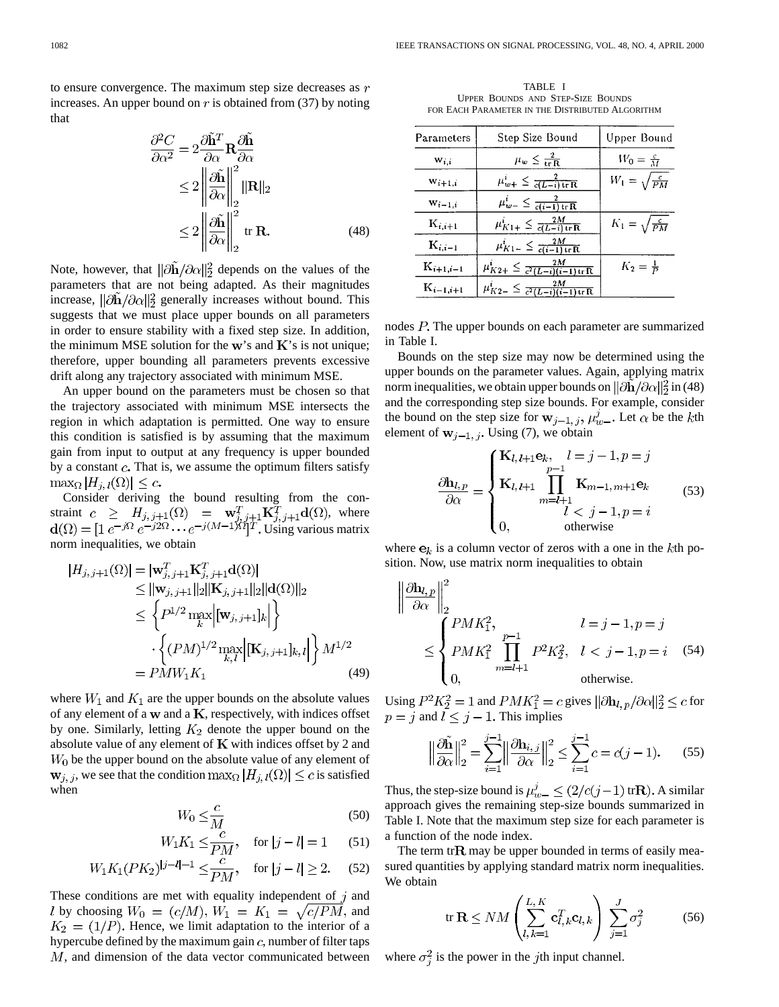to ensure convergence. The maximum step size decreases as  $r$ increases. An upper bound on  $r$  is obtained from (37) by noting that

$$
\frac{\partial^2 C}{\partial \alpha^2} = 2 \frac{\partial \tilde{\mathbf{h}}^T}{\partial \alpha} \mathbf{R} \frac{\partial \tilde{\mathbf{h}}}{\partial \alpha} \n\leq 2 \left\| \frac{\partial \tilde{\mathbf{h}}}{\partial \alpha} \right\|_2^2 ||\mathbf{R}||_2 \n\leq 2 \left\| \frac{\partial \tilde{\mathbf{h}}}{\partial \alpha} \right\|_2^2 \text{ tr } \mathbf{R}.
$$
\n(48)

Note, however, that  $||\partial \tilde{\mathbf{h}}/\partial \alpha||_2^2$  depends on the values of the parameters that are not being adapted. As their magnitudes increase,  $\|\partial \mathbf{h}/\partial \alpha\|_2^2$  generally increases without bound. This suggests that we must place upper bounds on all parameters in order to ensure stability with a fixed step size. In addition, the minimum MSE solution for the  $w$ 's and  $K$ 's is not unique; therefore, upper bounding all parameters prevents excessive drift along any trajectory associated with minimum MSE.

An upper bound on the parameters must be chosen so that the trajectory associated with minimum MSE intersects the region in which adaptation is permitted. One way to ensure this condition is satisfied is by assuming that the maximum gain from input to output at any frequency is upper bounded by a constant  $c$ . That is, we assume the optimum filters satisfy  $\max_{\Omega} |H_{i,l}(\Omega)| \leq c.$ 

Consider deriving the bound resulting from the constraint  $c \geq H_{j, j+1}(\Omega) = \mathbf{w}_{j, j+1}^T \mathbf{K}_{j, j+1}^T \mathbf{d}(\Omega)$ , where Using various matrix norm inequalities, we obtain

$$
|H_{j,j+1}(\Omega)| = |\mathbf{w}_{j,j+1}^T \mathbf{K}_{j,j+1}^T \mathbf{d}(\Omega)|
$$
  
\n
$$
\leq ||\mathbf{w}_{j,j+1}||_2||\mathbf{K}_{j,j+1}||_2||\mathbf{d}(\Omega)||_2
$$
  
\n
$$
\leq \left\{ P^{1/2} \max_{k} |[\mathbf{w}_{j,j+1}]_k | \right\}
$$
  
\n
$$
\cdot \left\{ (PM)^{1/2} \max_{k,l} |[\mathbf{K}_{j,j+1}]_{k,l} | \right\} M^{1/2}
$$
  
\n
$$
= PMW_1K_1
$$
 (49)

where  $W_1$  and  $K_1$  are the upper bounds on the absolute values of any element of a  $w$  and a  $K$ , respectively, with indices offset by one. Similarly, letting  $K_2$  denote the upper bound on the absolute value of any element of  $\bf{K}$  with indices offset by 2 and  $W_0$  be the upper bound on the absolute value of any element of  $\mathbf{w}_{j, j}$ , we see that the condition  $\max_{\Omega} |H_{j, l}(\Omega)| \leq c$  is satisfied when

$$
W_0 \le \frac{c}{M}
$$
\n<sup>(50)</sup>

$$
W_1 K_1 \le \frac{c}{PM}
$$
, for  $|j - l| = 1$  (51)

$$
W_1 K_1 (PK_2)^{|j-l|-1} \le \frac{c}{PM}
$$
, for  $|j-l| \ge 2$ . (52)

These conditions are met with equality independent of  $j$  and l by choosing  $W_0 = (c/M)$ ,  $W_1 = K_1 = \sqrt{c/PM}$ , and  $K_2 = (1/P)$ . Hence, we limit adaptation to the interior of a hypercube defined by the maximum gain  $c$ , number of filter taps  $M$ , and dimension of the data vector communicated between

TABLE I UPPER BOUNDS AND STEP-SIZE BOUNDS FOR EACH PARAMETER IN THE DISTRIBUTED ALGORITHM

| Parameters    | Step Size Bound                                                    | Upper Bound                 |
|---------------|--------------------------------------------------------------------|-----------------------------|
| $W_{i,i}$     | $\mu_w \leq \frac{2}{\text{tr } R}$                                | $W_0 = \frac{c}{M}$         |
| $W_{i+1,i}$   | $\mu_{w+}^i \leq \frac{2}{c(L-i)\text{ tr }\mathbf{R}}$            | $W_1 = \sqrt{\frac{c}{PM}}$ |
| $W_{i-1,i}$   | $\mu_{w-}^i \leq \frac{2}{c(i-1)\text{tr}\,\mathbf{R}}$            |                             |
| $K_{i,i+1}$   | $\mu_{K1+}^i \leq \frac{2M}{c(L-i)\text{ tr }\mathbf{R}}$          | $K_1 = \sqrt{\frac{c}{PM}}$ |
| $K_{i,i-1}$   | $\mu_{K1-}^i \leq \frac{2M}{c(i-1)\ln R}$                          |                             |
| $K_{i+1,i-1}$ | $\mu_{K2+}^{i} \leq \frac{2M}{c^2(L-i)(i-1)\text{ tr }\mathbf{R}}$ | $K_2 = \frac{1}{P}$         |
| $K_{i-1,i+1}$ | $\mu_{K2-}^i \leq \frac{2M}{c^2(L-i)(i-1)\text{ tr }\mathbf{R}}$   |                             |

nodes  $P$ . The upper bounds on each parameter are summarized in Table I.

Bounds on the step size may now be determined using the upper bounds on the parameter values. Again, applying matrix norm inequalities, we obtain upper bounds on  $\|\partial \mathbf{h}/\partial \alpha\|_2^2$  in (48) and the corresponding step size bounds. For example, consider the bound on the step size for  $w_{j-1, j}$ ,  $\mu_{w-}^j$ . Let  $\alpha$  be the kth element of  $w_{j-1, j}$ . Using (7), we obtain

$$
\frac{\partial \mathbf{h}_{l,p}}{\partial \alpha} = \begin{cases} \mathbf{K}_{l,l+1} \mathbf{e}_k, & l = j - 1, p = j \\ \mathbf{K}_{l,l+1} \prod_{m=l+1}^{p-1} \mathbf{K}_{m-1,m+1} \mathbf{e}_k \\ & l & l < j - 1, p = i \\ 0, & \text{otherwise} \end{cases}
$$
(53)

where  $e_k$  is a column vector of zeros with a one in the kth position. Now, use matrix norm inequalities to obtain

$$
\left\| \frac{\partial \mathbf{h}_{l,p}}{\partial \alpha} \right\|_2^2
$$
  
\n
$$
\leq \begin{cases} PMK_1^2, & l = j - 1, p = j \\ PMK_1^2 \prod_{m=l+1}^{p-1} P^2K_2^2, & l < j - 1, p = i \\ 0, & \text{otherwise.} \end{cases}
$$
(54)

Using  $P^2 K_2^2 = 1$  and  $PMK_1^2 = c$  gives  $||\partial \mathbf{h}_{l,p}/\partial \alpha||_2^2 \leq c$  for  $p = j$  and  $l \leq j - 1$ . This implies

$$
\left\|\frac{\partial \tilde{\mathbf{h}}}{\partial \alpha}\right\|_{2}^{2} = \sum_{i=1}^{j-1} \left\|\frac{\partial \mathbf{h}_{i,j}}{\partial \alpha}\right\|_{2}^{2} \le \sum_{i=1}^{j-1} c = c(j-1). \tag{55}
$$

Thus, the step-size bound is  $\mu_{w-}^j \leq (2/c(j-1) \text{ tr } R)$ . A similar approach gives the remaining step-size bounds summarized in Table I. Note that the maximum step size for each parameter is a function of the node index.

The term tr **may be upper bounded in terms of easily mea**sured quantities by applying standard matrix norm inequalities. We obtain

$$
\text{tr }\mathbf{R} \le NM \left( \sum_{l,k=1}^{L,K} \mathbf{c}_{l,k}^T \mathbf{c}_{l,k} \right) \sum_{j=1}^J \sigma_j^2 \tag{56}
$$

where  $\sigma_i^2$  is the power in the *j*th input channel.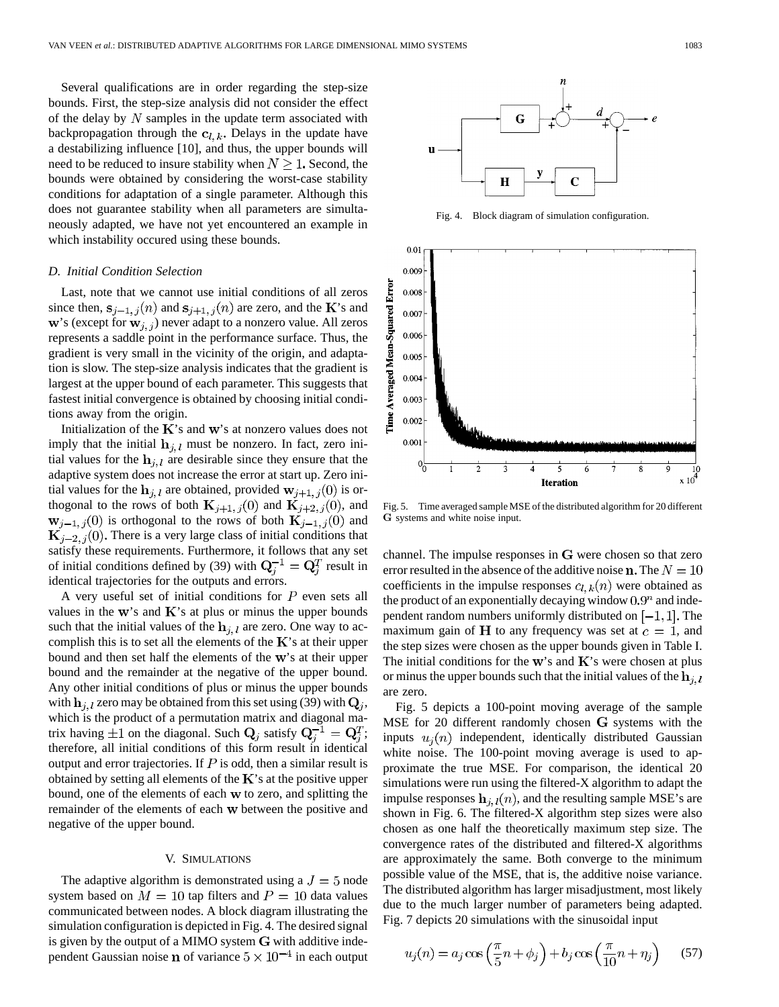Several qualifications are in order regarding the step-size bounds. First, the step-size analysis did not consider the effect of the delay by  $N$  samples in the update term associated with backpropagation through the  $c_{l,k}$ . Delays in the update have a destabilizing influence [10], and thus, the upper bounds will need to be reduced to insure stability when  $N \geq 1$ . Second, the bounds were obtained by considering the worst-case stability conditions for adaptation of a single parameter. Although this does not guarantee stability when all parameters are simultaneously adapted, we have not yet encountered an example in which instability occured using these bounds.

## *D. Initial Condition Selection*

Last, note that we cannot use initial conditions of all zeros since then,  $s_{j-1,j}(n)$  and  $s_{j+1,j}(n)$  are zero, and the K's and  $\mathbf{w}$ 's (except for  $\mathbf{w}_{j, j}$ ) never adapt to a nonzero value. All zeros represents a saddle point in the performance surface. Thus, the gradient is very small in the vicinity of the origin, and adaptation is slow. The step-size analysis indicates that the gradient is largest at the upper bound of each parameter. This suggests that fastest initial convergence is obtained by choosing initial conditions away from the origin.

Initialization of the  $K$ 's and  $w$ 's at nonzero values does not imply that the initial  $h_{i, l}$  must be nonzero. In fact, zero initial values for the  $\mathbf{h}_{i,l}$  are desirable since they ensure that the adaptive system does not increase the error at start up. Zero initial values for the  $\mathbf{h}_{i,l}$  are obtained, provided  $\mathbf{w}_{i+1,j}(0)$  is orthogonal to the rows of both  $\mathbf{K}_{j+1,j}(0)$  and  $\mathbf{K}_{j+2,j}(0)$ , and  $\mathbf{w}_{i-1,j}(0)$  is orthogonal to the rows of both  $\mathbf{K}_{i-1,j}(0)$  and  ${\bf K}_{j-2, j}(0)$ . There is a very large class of initial conditions that satisfy these requirements. Furthermore, it follows that any set of initial conditions defined by (39) with  $\mathbf{Q}_j^{-1} = \mathbf{Q}_j^T$  result in identical trajectories for the outputs and errors.

A very useful set of initial conditions for  $P$  even sets all values in the  $w$ 's and  $K$ 's at plus or minus the upper bounds such that the initial values of the  $h_{j,l}$  are zero. One way to accomplish this is to set all the elements of the  $K$ 's at their upper bound and then set half the elements of the  $w$ 's at their upper bound and the remainder at the negative of the upper bound. Any other initial conditions of plus or minus the upper bounds with  $\mathbf{h}_{i,l}$  zero may be obtained from this set using (39) with  $\mathbf{Q}_i$ , which is the product of a permutation matrix and diagonal matrix having  $\pm 1$  on the diagonal. Such  $\mathbf{Q}_i$  satisfy  $\mathbf{Q}_i^{-1} = \mathbf{Q}_i^T$ ; therefore, all initial conditions of this form result in identical output and error trajectories. If  $P$  is odd, then a similar result is obtained by setting all elements of the  $\mathbf{K}$ 's at the positive upper bound, one of the elements of each w to zero, and splitting the remainder of the elements of each w between the positive and negative of the upper bound.

### V. SIMULATIONS

The adaptive algorithm is demonstrated using a  $J = 5$  node system based on  $M = 10$  tap filters and  $P = 10$  data values communicated between nodes. A block diagram illustrating the simulation configuration is depicted in Fig. 4. The desired signal is given by the output of a MIMO system  $G$  with additive independent Gaussian noise **n** of variance  $5 \times 10^{-4}$  in each output



Fig. 4. Block diagram of simulation configuration.



Fig. 5. Time averaged sample MSE of the distributed algorithm for 20 different G systems and white noise input.

channel. The impulse responses in  $G$  were chosen so that zero error resulted in the absence of the additive noise  $n$ . The  $N = 10$ coefficients in the impulse responses  $c_{l, k}(n)$  were obtained as the product of an exponentially decaying window  $0.9<sup>n</sup>$  and independent random numbers uniformly distributed on  $[-1, 1]$ . The maximum gain of **H** to any frequency was set at  $c = 1$ , and the step sizes were chosen as the upper bounds given in Table I. The initial conditions for the  $w$ 's and  $K$ 's were chosen at plus or minus the upper bounds such that the initial values of the  $\mathbf{h}_{j,l}$ are zero.

Fig. 5 depicts a 100-point moving average of the sample MSE for 20 different randomly chosen  $G$  systems with the inputs  $u_i(n)$  independent, identically distributed Gaussian white noise. The 100-point moving average is used to approximate the true MSE. For comparison, the identical 20 simulations were run using the filtered-X algorithm to adapt the impulse responses  $\mathbf{h}_{i,l}(n)$ , and the resulting sample MSE's are shown in Fig. 6. The filtered-X algorithm step sizes were also chosen as one half the theoretically maximum step size. The convergence rates of the distributed and filtered-X algorithms are approximately the same. Both converge to the minimum possible value of the MSE, that is, the additive noise variance. The distributed algorithm has larger misadjustment, most likely due to the much larger number of parameters being adapted. Fig. 7 depicts 20 simulations with the sinusoidal input

$$
u_j(n) = a_j \cos\left(\frac{\pi}{5}n + \phi_j\right) + b_j \cos\left(\frac{\pi}{10}n + \eta_j\right) \tag{57}
$$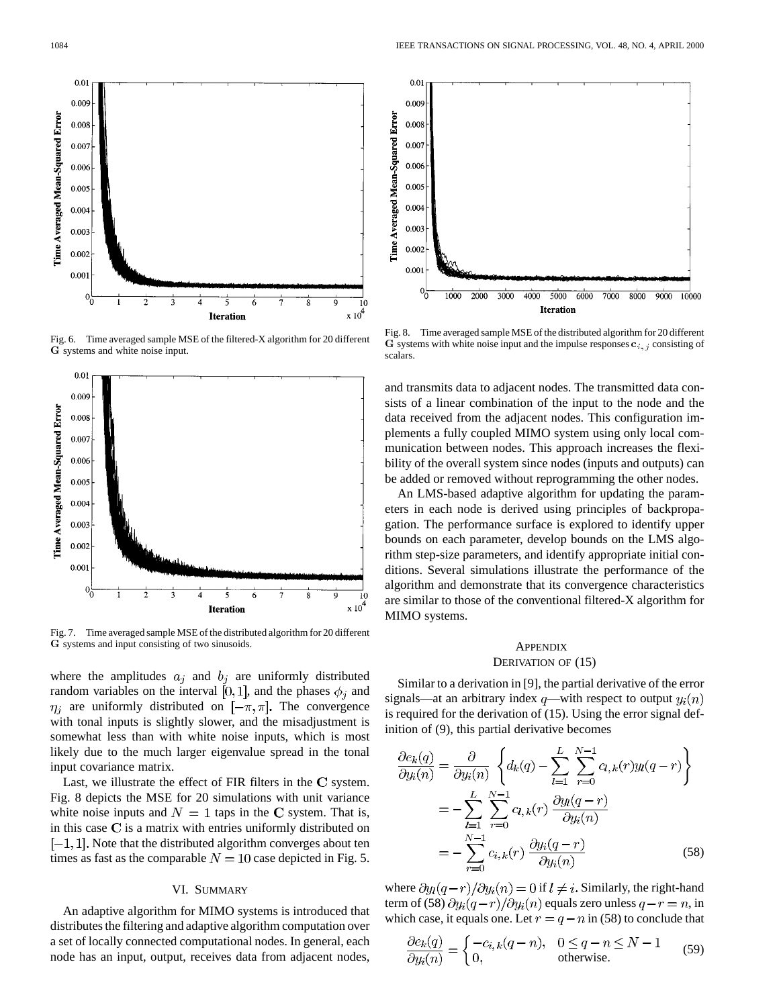

Fig. 6. Time averaged sample MSE of the filtered-X algorithm for 20 different G systems and white noise input.



Fig. 7. Time averaged sample MSE of the distributed algorithm for 20 different G systems and input consisting of two sinusoids.

where the amplitudes  $a_j$  and  $b_j$  are uniformly distributed random variables on the interval [0, 1], and the phases  $\phi_i$  and  $\eta_i$  are uniformly distributed on  $[-\pi, \pi]$ . The convergence with tonal inputs is slightly slower, and the misadjustment is somewhat less than with white noise inputs, which is most likely due to the much larger eigenvalue spread in the tonal input covariance matrix.

Last, we illustrate the effect of FIR filters in the  $C$  system. Fig. 8 depicts the MSE for 20 simulations with unit variance white noise inputs and  $N = 1$  taps in the C system. That is, in this case  $C$  is a matrix with entries uniformly distributed on  $[-1, 1]$ . Note that the distributed algorithm converges about ten times as fast as the comparable  $N = 10$  case depicted in Fig. 5.

# VI. SUMMARY

An adaptive algorithm for MIMO systems is introduced that distributes the filtering and adaptive algorithm computation over a set of locally connected computational nodes. In general, each node has an input, output, receives data from adjacent nodes,



Fig. 8. Time averaged sample MSE of the distributed algorithm for 20 different G systems with white noise input and the impulse responses  $c_{i,j}$  consisting of scalars.

and transmits data to adjacent nodes. The transmitted data consists of a linear combination of the input to the node and the data received from the adjacent nodes. This configuration implements a fully coupled MIMO system using only local communication between nodes. This approach increases the flexibility of the overall system since nodes (inputs and outputs) can be added or removed without reprogramming the other nodes.

An LMS-based adaptive algorithm for updating the parameters in each node is derived using principles of backpropagation. The performance surface is explored to identify upper bounds on each parameter, develop bounds on the LMS algorithm step-size parameters, and identify appropriate initial conditions. Several simulations illustrate the performance of the algorithm and demonstrate that its convergence characteristics are similar to those of the conventional filtered-X algorithm for MIMO systems.

# **APPENDIX** DERIVATION OF (15)

Similar to a derivation in [9], the partial derivative of the error signals—at an arbitrary index  $q$ —with respect to output  $y_i(n)$ is required for the derivation of (15). Using the error signal definition of (9), this partial derivative becomes

$$
\frac{\partial e_k(q)}{\partial y_i(n)} = \frac{\partial}{\partial y_i(n)} \left\{ d_k(q) - \sum_{l=1}^L \sum_{r=0}^{N-1} c_{l,k}(r) y_l(q-r) \right\}
$$

$$
= - \sum_{l=1}^L \sum_{r=0}^{N-1} c_{l,k}(r) \frac{\partial y_l(q-r)}{\partial y_i(n)}
$$

$$
= - \sum_{r=0}^{N-1} c_{i,k}(r) \frac{\partial y_i(q-r)}{\partial y_i(n)}
$$
(58)

where  $\partial y_l(q-r)/\partial y_i(n) = 0$  if  $l \neq i$ . Similarly, the right-hand term of (58)  $\partial y_i(q-r)/\partial y_i(n)$  equals zero unless  $q-r=n$ , in which case, it equals one. Let  $r = q - n$  in (58) to conclude that

$$
\frac{\partial e_k(q)}{\partial y_i(n)} = \begin{cases}\n-c_{i,k}(q-n), & 0 \le q-n \le N-1 \\
0, & \text{otherwise.}\n\end{cases}
$$
\n(59)